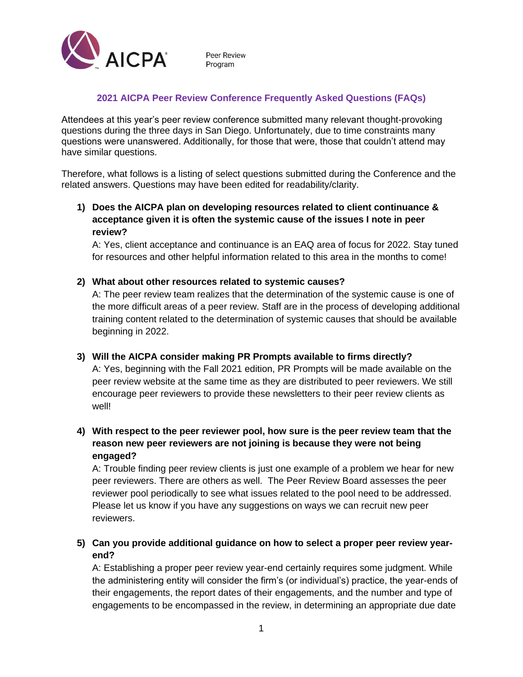

## **2021 AICPA Peer Review Conference Frequently Asked Questions (FAQs)**

Attendees at this year's peer review conference submitted many relevant thought-provoking questions during the three days in San Diego. Unfortunately, due to time constraints many questions were unanswered. Additionally, for those that were, those that couldn't attend may have similar questions.

Therefore, what follows is a listing of select questions submitted during the Conference and the related answers. Questions may have been edited for readability/clarity.

**1) Does the AICPA plan on developing resources related to client continuance & acceptance given it is often the systemic cause of the issues I note in peer review?**

A: Yes, client acceptance and continuance is an EAQ area of focus for 2022. Stay tuned for resources and other helpful information related to this area in the months to come!

#### **2) What about other resources related to systemic causes?**

A: The peer review team realizes that the determination of the systemic cause is one of the more difficult areas of a peer review. Staff are in the process of developing additional training content related to the determination of systemic causes that should be available beginning in 2022.

#### **3) Will the AICPA consider making PR Prompts available to firms directly?**

A: Yes, beginning with the Fall 2021 edition, PR Prompts will be made available on the peer review website at the same time as they are distributed to peer reviewers. We still encourage peer reviewers to provide these newsletters to their peer review clients as well!

## **4) With respect to the peer reviewer pool, how sure is the peer review team that the reason new peer reviewers are not joining is because they were not being engaged?**

A: Trouble finding peer review clients is just one example of a problem we hear for new peer reviewers. There are others as well. The Peer Review Board assesses the peer reviewer pool periodically to see what issues related to the pool need to be addressed. Please let us know if you have any suggestions on ways we can recruit new peer reviewers.

## **5) Can you provide additional guidance on how to select a proper peer review yearend?**

A: Establishing a proper peer review year-end certainly requires some judgment. While the administering entity will consider the firm's (or individual's) practice, the year-ends of their engagements, the report dates of their engagements, and the number and type of engagements to be encompassed in the review, in determining an appropriate due date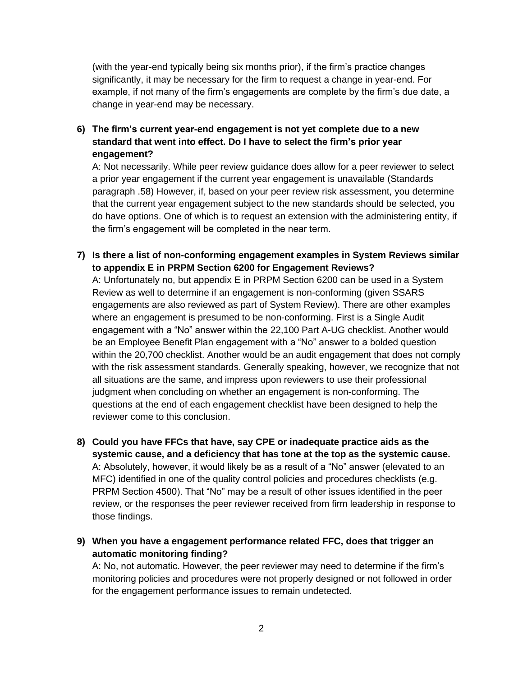(with the year-end typically being six months prior), if the firm's practice changes significantly, it may be necessary for the firm to request a change in year-end. For example, if not many of the firm's engagements are complete by the firm's due date, a change in year-end may be necessary.

**6) The firm's current year-end engagement is not yet complete due to a new standard that went into effect. Do I have to select the firm's prior year engagement?**

A: Not necessarily. While peer review guidance does allow for a peer reviewer to select a prior year engagement if the current year engagement is unavailable (Standards paragraph .58) However, if, based on your peer review risk assessment, you determine that the current year engagement subject to the new standards should be selected, you do have options. One of which is to request an extension with the administering entity, if the firm's engagement will be completed in the near term.

**7) Is there a list of non-conforming engagement examples in System Reviews similar to appendix E in PRPM Section 6200 for Engagement Reviews?**

A: Unfortunately no, but appendix E in PRPM Section 6200 can be used in a System Review as well to determine if an engagement is non-conforming (given SSARS engagements are also reviewed as part of System Review). There are other examples where an engagement is presumed to be non-conforming. First is a Single Audit engagement with a "No" answer within the 22,100 Part A-UG checklist. Another would be an Employee Benefit Plan engagement with a "No" answer to a bolded question within the 20,700 checklist. Another would be an audit engagement that does not comply with the risk assessment standards. Generally speaking, however, we recognize that not all situations are the same, and impress upon reviewers to use their professional judgment when concluding on whether an engagement is non-conforming. The questions at the end of each engagement checklist have been designed to help the reviewer come to this conclusion.

- **8) Could you have FFCs that have, say CPE or inadequate practice aids as the systemic cause, and a deficiency that has tone at the top as the systemic cause.** A: Absolutely, however, it would likely be as a result of a "No" answer (elevated to an MFC) identified in one of the quality control policies and procedures checklists (e.g. PRPM Section 4500). That "No" may be a result of other issues identified in the peer review, or the responses the peer reviewer received from firm leadership in response to those findings.
- **9) When you have a engagement performance related FFC, does that trigger an automatic monitoring finding?**

A: No, not automatic. However, the peer reviewer may need to determine if the firm's monitoring policies and procedures were not properly designed or not followed in order for the engagement performance issues to remain undetected.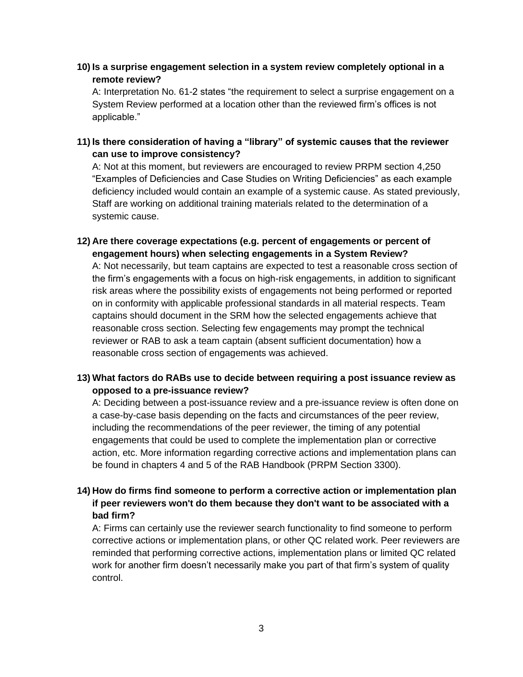**10) Is a surprise engagement selection in a system review completely optional in a remote review?**

A: Interpretation No. 61-2 states "the requirement to select a surprise engagement on a System Review performed at a location other than the reviewed firm's offices is not applicable."

**11) Is there consideration of having a "library" of systemic causes that the reviewer can use to improve consistency?**

A: Not at this moment, but reviewers are encouraged to review PRPM section 4,250 "Examples of Deficiencies and Case Studies on Writing Deficiencies" as each example deficiency included would contain an example of a systemic cause. As stated previously, Staff are working on additional training materials related to the determination of a systemic cause.

**12) Are there coverage expectations (e.g. percent of engagements or percent of engagement hours) when selecting engagements in a System Review?**

A: Not necessarily, but team captains are expected to test a reasonable cross section of the firm's engagements with a focus on high-risk engagements, in addition to significant risk areas where the possibility exists of engagements not being performed or reported on in conformity with applicable professional standards in all material respects. Team captains should document in the SRM how the selected engagements achieve that reasonable cross section. Selecting few engagements may prompt the technical reviewer or RAB to ask a team captain (absent sufficient documentation) how a reasonable cross section of engagements was achieved.

## **13) What factors do RABs use to decide between requiring a post issuance review as opposed to a pre-issuance review?**

A: Deciding between a post-issuance review and a pre-issuance review is often done on a case-by-case basis depending on the facts and circumstances of the peer review, including the recommendations of the peer reviewer, the timing of any potential engagements that could be used to complete the implementation plan or corrective action, etc. More information regarding corrective actions and implementation plans can be found in chapters 4 and 5 of the RAB Handbook (PRPM Section 3300).

## **14) How do firms find someone to perform a corrective action or implementation plan if peer reviewers won't do them because they don't want to be associated with a bad firm?**

A: Firms can certainly use the reviewer search functionality to find someone to perform corrective actions or implementation plans, or other QC related work. Peer reviewers are reminded that performing corrective actions, implementation plans or limited QC related work for another firm doesn't necessarily make you part of that firm's system of quality control.